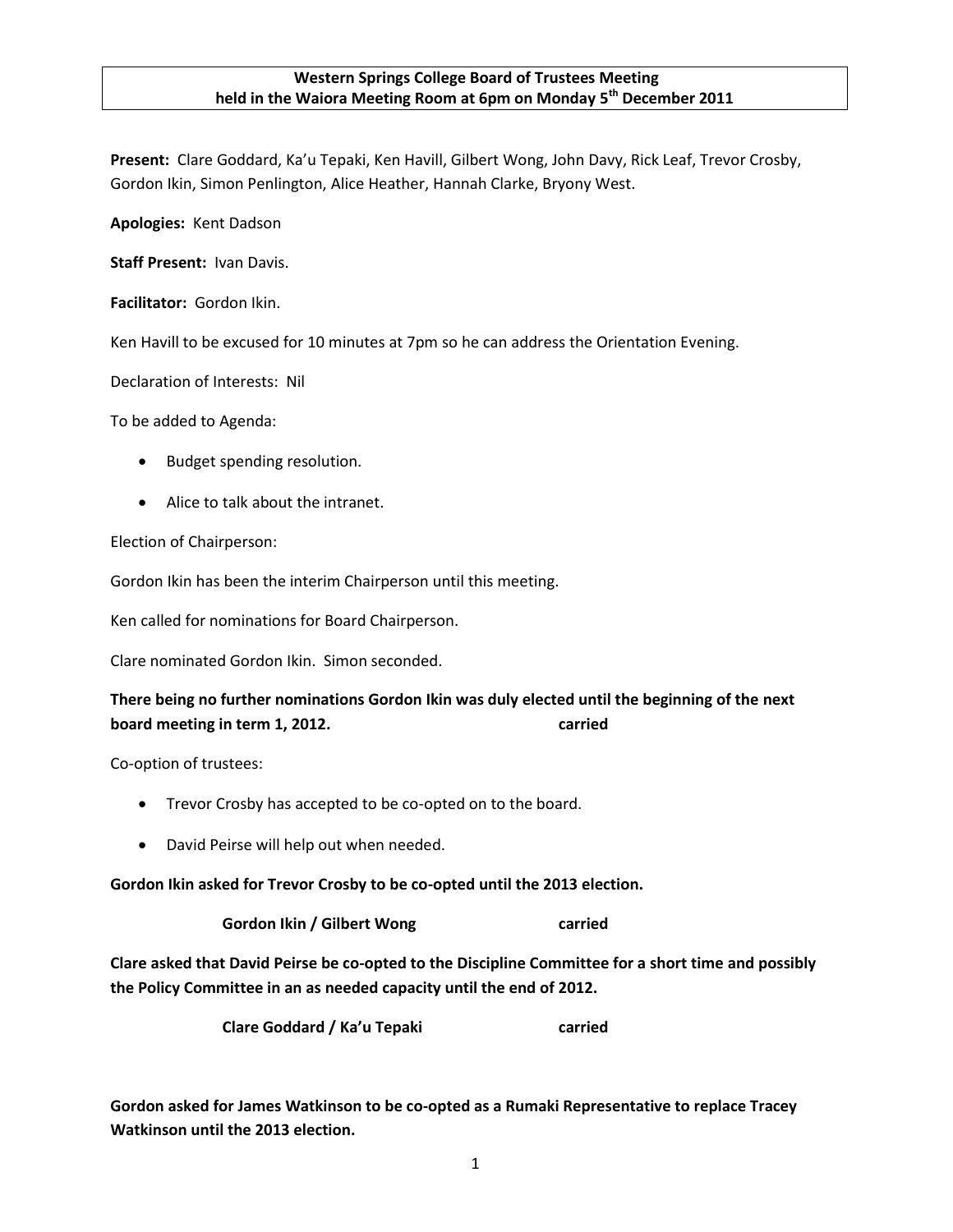## **Western Springs College Board of Trustees Meeting held in the Waiora Meeting Room at 6pm on Monday 5th December 2011**

**Present:** Clare Goddard, Ka'u Tepaki, Ken Havill, Gilbert Wong, John Davy, Rick Leaf, Trevor Crosby, Gordon Ikin, Simon Penlington, Alice Heather, Hannah Clarke, Bryony West.

**Apologies:** Kent Dadson

**Staff Present:** Ivan Davis.

**Facilitator:** Gordon Ikin.

Ken Havill to be excused for 10 minutes at 7pm so he can address the Orientation Evening.

Declaration of Interests: Nil

To be added to Agenda:

- Budget spending resolution.
- Alice to talk about the intranet.

Election of Chairperson:

Gordon Ikin has been the interim Chairperson until this meeting.

Ken called for nominations for Board Chairperson.

Clare nominated Gordon Ikin. Simon seconded.

# **There being no further nominations Gordon Ikin was duly elected until the beginning of the next board meeting in term 1, 2012. carried**

Co-option of trustees:

- Trevor Crosby has accepted to be co-opted on to the board.
- David Peirse will help out when needed.

**Gordon Ikin asked for Trevor Crosby to be co-opted until the 2013 election.**

**Gordon Ikin / Gilbert Wong carried**

**Clare asked that David Peirse be co-opted to the Discipline Committee for a short time and possibly the Policy Committee in an as needed capacity until the end of 2012.**

**Clare Goddard / Ka'u Tepaki carried**

**Gordon asked for James Watkinson to be co-opted as a Rumaki Representative to replace Tracey Watkinson until the 2013 election.**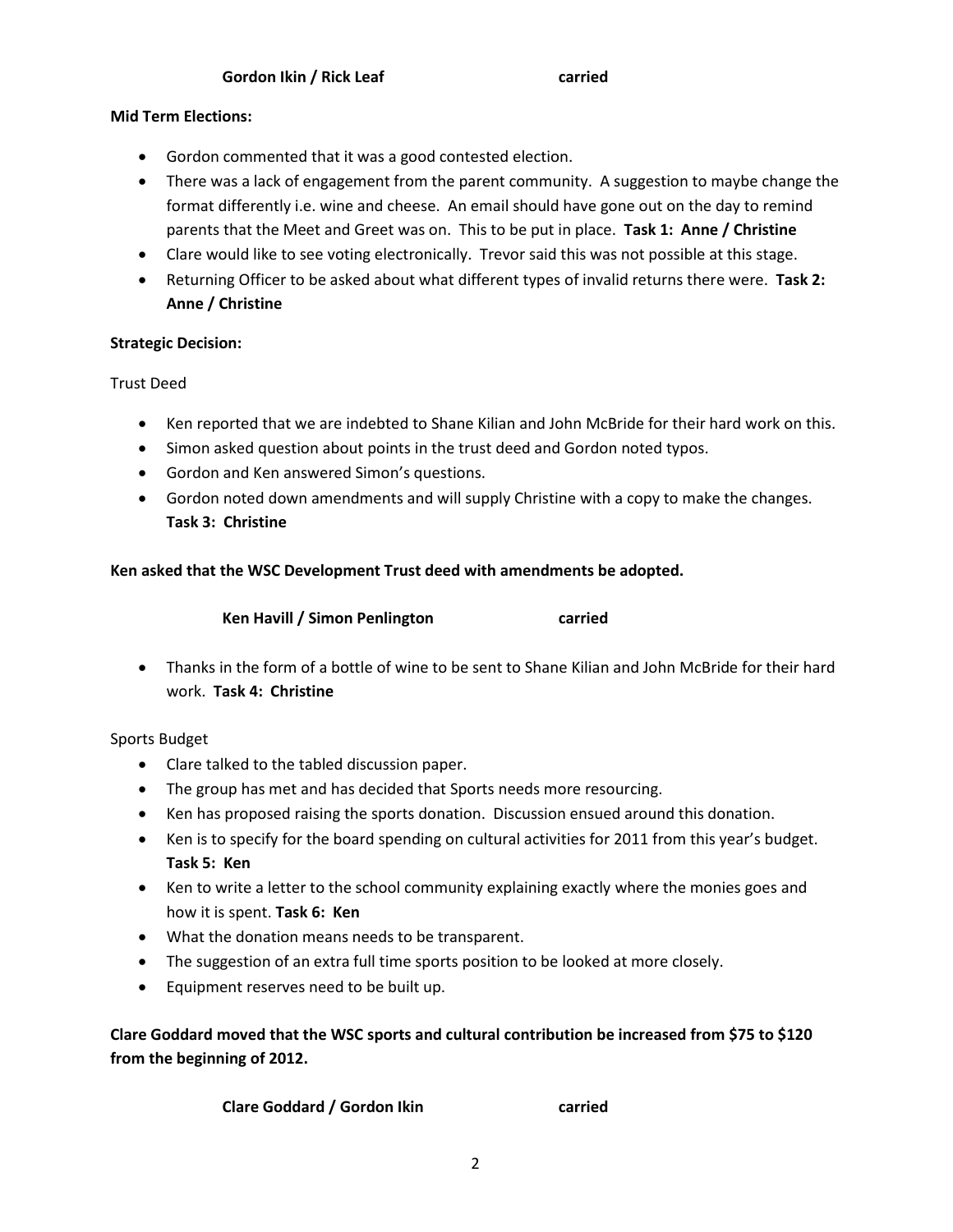# **Mid Term Elections:**

- Gordon commented that it was a good contested election.
- There was a lack of engagement from the parent community. A suggestion to maybe change the format differently i.e. wine and cheese. An email should have gone out on the day to remind parents that the Meet and Greet was on. This to be put in place. **Task 1: Anne / Christine**
- Clare would like to see voting electronically. Trevor said this was not possible at this stage.
- Returning Officer to be asked about what different types of invalid returns there were. **Task 2: Anne / Christine**

# **Strategic Decision:**

Trust Deed

- Ken reported that we are indebted to Shane Kilian and John McBride for their hard work on this.
- Simon asked question about points in the trust deed and Gordon noted typos.
- Gordon and Ken answered Simon's questions.
- Gordon noted down amendments and will supply Christine with a copy to make the changes. **Task 3: Christine**

# **Ken asked that the WSC Development Trust deed with amendments be adopted.**

| Ken Havill / Simon Penlington | carried |
|-------------------------------|---------|
|-------------------------------|---------|

 Thanks in the form of a bottle of wine to be sent to Shane Kilian and John McBride for their hard work. **Task 4: Christine**

Sports Budget

- Clare talked to the tabled discussion paper.
- The group has met and has decided that Sports needs more resourcing.
- Ken has proposed raising the sports donation. Discussion ensued around this donation.
- Ken is to specify for the board spending on cultural activities for 2011 from this year's budget. **Task 5: Ken**
- Ken to write a letter to the school community explaining exactly where the monies goes and how it is spent. **Task 6: Ken**
- What the donation means needs to be transparent.
- The suggestion of an extra full time sports position to be looked at more closely.
- Equipment reserves need to be built up.

**Clare Goddard moved that the WSC sports and cultural contribution be increased from \$75 to \$120 from the beginning of 2012.**

**Clare Goddard / Gordon Ikin carried**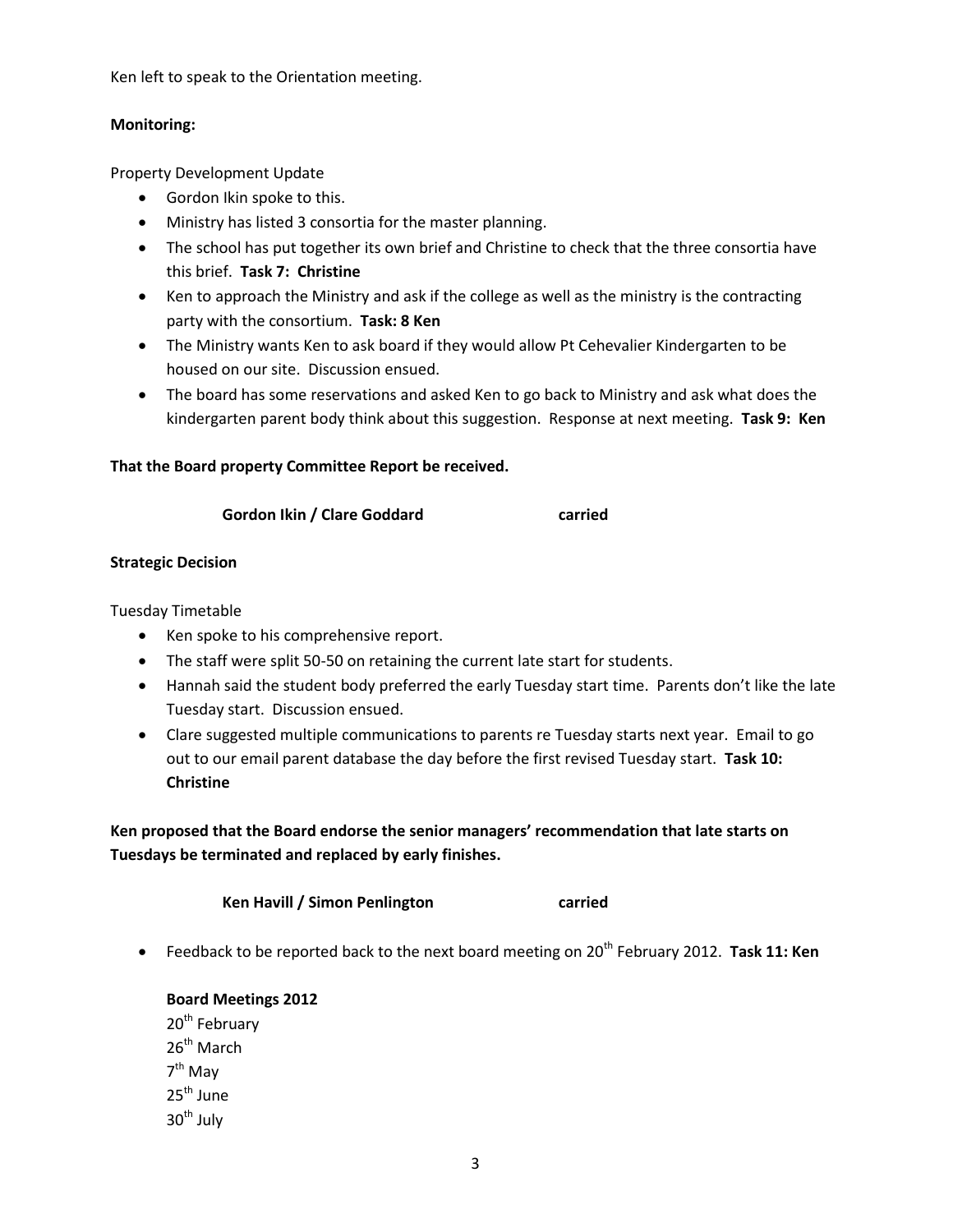Ken left to speak to the Orientation meeting.

## **Monitoring:**

Property Development Update

- Gordon Ikin spoke to this.
- Ministry has listed 3 consortia for the master planning.
- The school has put together its own brief and Christine to check that the three consortia have this brief. **Task 7: Christine**
- Ken to approach the Ministry and ask if the college as well as the ministry is the contracting party with the consortium. **Task: 8 Ken**
- The Ministry wants Ken to ask board if they would allow Pt Cehevalier Kindergarten to be housed on our site. Discussion ensued.
- The board has some reservations and asked Ken to go back to Ministry and ask what does the kindergarten parent body think about this suggestion. Response at next meeting. **Task 9: Ken**

# **That the Board property Committee Report be received.**

#### **Gordon Ikin / Clare Goddard carried**

## **Strategic Decision**

Tuesday Timetable

- Ken spoke to his comprehensive report.
- The staff were split 50-50 on retaining the current late start for students.
- Hannah said the student body preferred the early Tuesday start time. Parents don't like the late Tuesday start. Discussion ensued.
- Clare suggested multiple communications to parents re Tuesday starts next year. Email to go out to our email parent database the day before the first revised Tuesday start. **Task 10: Christine**

**Ken proposed that the Board endorse the senior managers' recommendation that late starts on Tuesdays be terminated and replaced by early finishes.**

**Ken Havill / Simon Penlington carried**

• Feedback to be reported back to the next board meeting on 20<sup>th</sup> February 2012. Task 11: Ken

**Board Meetings 2012** 20<sup>th</sup> February  $26^{th}$  March 7<sup>th</sup> May 25<sup>th</sup> June  $30<sup>th</sup>$  July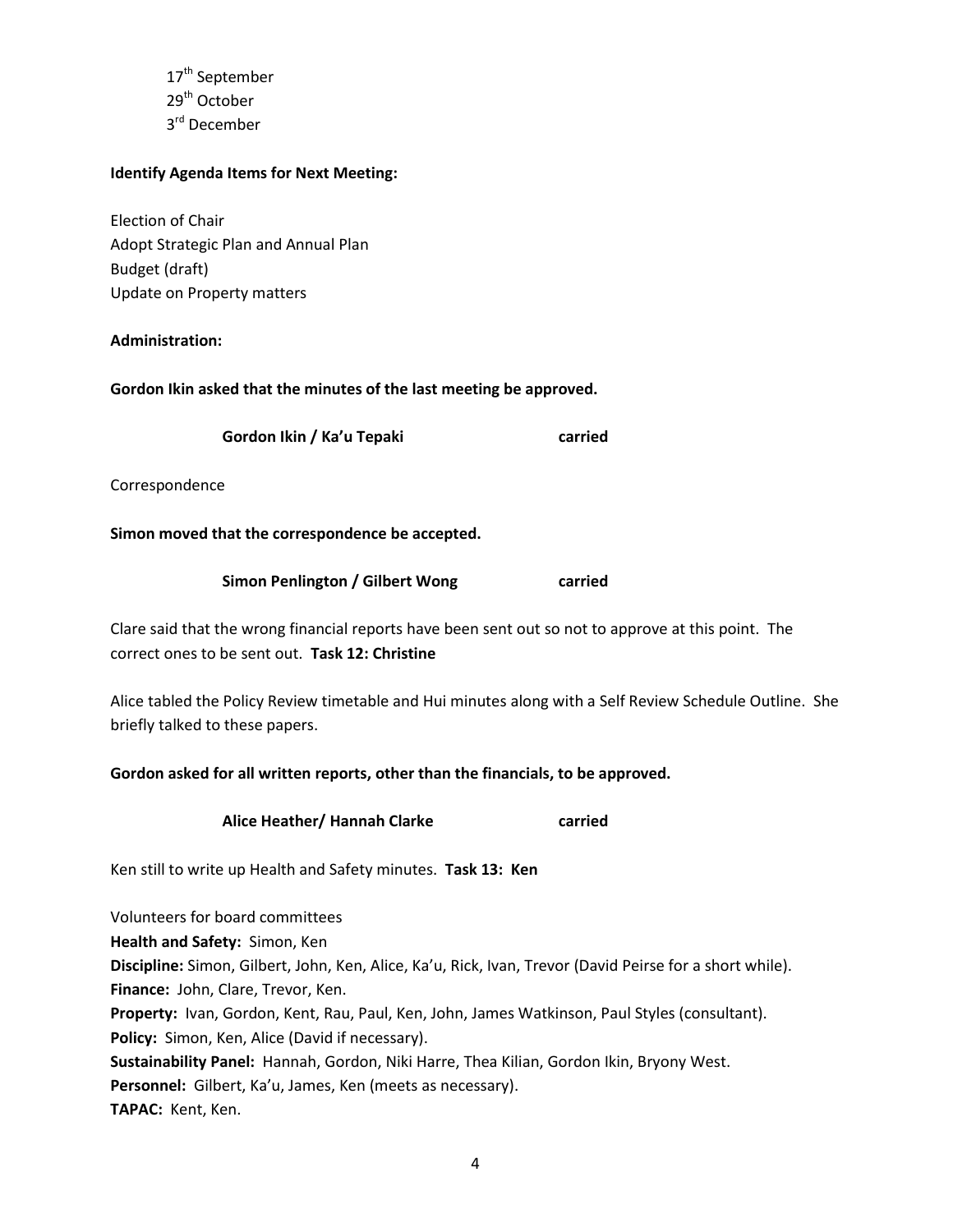17<sup>th</sup> September 29th October 3<sup>rd</sup> December

## **Identify Agenda Items for Next Meeting:**

Election of Chair Adopt Strategic Plan and Annual Plan Budget (draft) Update on Property matters

## **Administration:**

**Gordon Ikin asked that the minutes of the last meeting be approved.**

**Gordon Ikin / Ka'u Tepaki carried**

Correspondence

## **Simon moved that the correspondence be accepted.**

**Simon Penlington / Gilbert Wong carried**

Clare said that the wrong financial reports have been sent out so not to approve at this point. The correct ones to be sent out. **Task 12: Christine**

Alice tabled the Policy Review timetable and Hui minutes along with a Self Review Schedule Outline. She briefly talked to these papers.

**Gordon asked for all written reports, other than the financials, to be approved.**

**Alice Heather/ Hannah Clarke carried**

Ken still to write up Health and Safety minutes. **Task 13: Ken**

Volunteers for board committees **Health and Safety:** Simon, Ken **Discipline:** Simon, Gilbert, John, Ken, Alice, Ka'u, Rick, Ivan, Trevor (David Peirse for a short while). **Finance:** John, Clare, Trevor, Ken. **Property:** Ivan, Gordon, Kent, Rau, Paul, Ken, John, James Watkinson, Paul Styles (consultant). **Policy:** Simon, Ken, Alice (David if necessary). **Sustainability Panel:** Hannah, Gordon, Niki Harre, Thea Kilian, Gordon Ikin, Bryony West. **Personnel:** Gilbert, Ka'u, James, Ken (meets as necessary). TAPAC: Kent, Ken.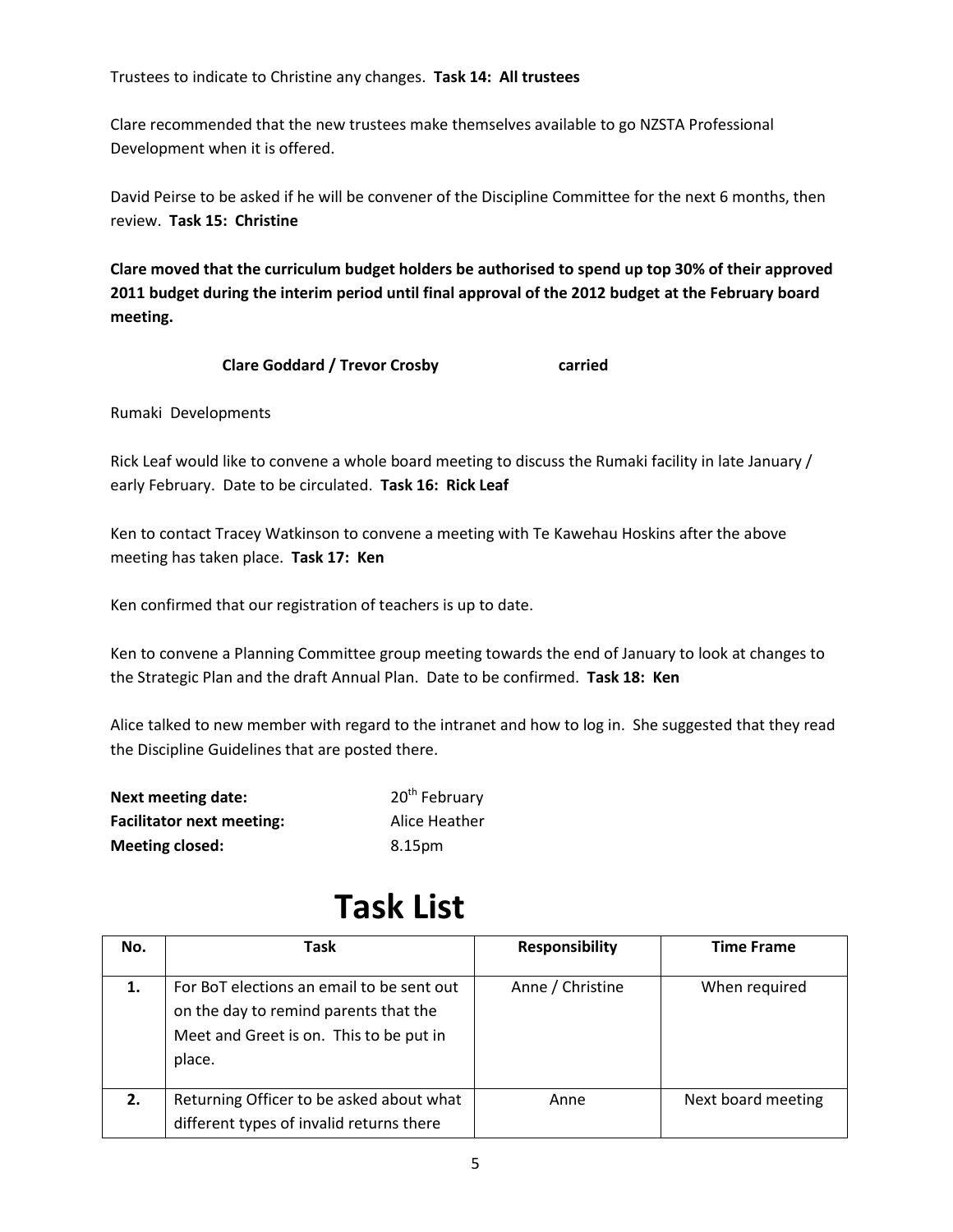Trustees to indicate to Christine any changes. **Task 14: All trustees**

Clare recommended that the new trustees make themselves available to go NZSTA Professional Development when it is offered.

David Peirse to be asked if he will be convener of the Discipline Committee for the next 6 months, then review. **Task 15: Christine**

**Clare moved that the curriculum budget holders be authorised to spend up top 30% of their approved 2011 budget during the interim period until final approval of the 2012 budget at the February board meeting.**

**Clare Goddard / Trevor Crosby carried**

Rumaki Developments

Rick Leaf would like to convene a whole board meeting to discuss the Rumaki facility in late January / early February. Date to be circulated. **Task 16: Rick Leaf**

Ken to contact Tracey Watkinson to convene a meeting with Te Kawehau Hoskins after the above meeting has taken place. **Task 17: Ken**

Ken confirmed that our registration of teachers is up to date.

Ken to convene a Planning Committee group meeting towards the end of January to look at changes to the Strategic Plan and the draft Annual Plan. Date to be confirmed. **Task 18: Ken** 

Alice talked to new member with regard to the intranet and how to log in. She suggested that they read the Discipline Guidelines that are posted there.

| Next meeting date:               | 20 <sup>th</sup> February |
|----------------------------------|---------------------------|
| <b>Facilitator next meeting:</b> | Alice Heather             |
| <b>Meeting closed:</b>           | 8.15pm                    |

# **Task List**

| No. | Task                                                                                                                                    | <b>Responsibility</b> | <b>Time Frame</b>  |
|-----|-----------------------------------------------------------------------------------------------------------------------------------------|-----------------------|--------------------|
| 1.  | For BoT elections an email to be sent out<br>on the day to remind parents that the<br>Meet and Greet is on. This to be put in<br>place. | Anne / Christine      | When required      |
| 2.  | Returning Officer to be asked about what<br>different types of invalid returns there                                                    | Anne                  | Next board meeting |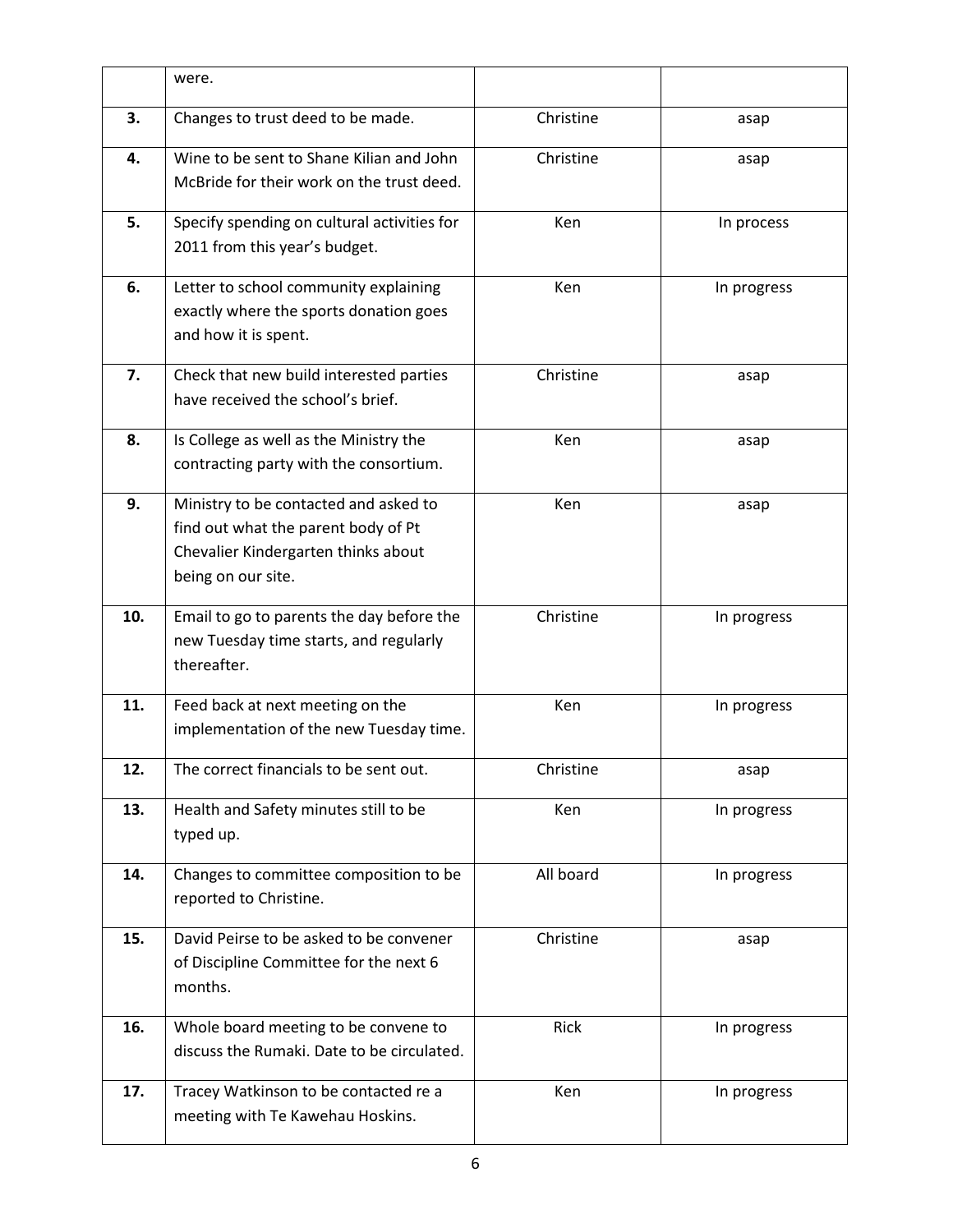|     | were.                                                                                                                                     |           |             |
|-----|-------------------------------------------------------------------------------------------------------------------------------------------|-----------|-------------|
| 3.  | Changes to trust deed to be made.                                                                                                         | Christine | asap        |
| 4.  | Wine to be sent to Shane Kilian and John<br>McBride for their work on the trust deed.                                                     | Christine | asap        |
| 5.  | Specify spending on cultural activities for<br>2011 from this year's budget.                                                              | Ken       | In process  |
| 6.  | Letter to school community explaining<br>exactly where the sports donation goes<br>and how it is spent.                                   | Ken       | In progress |
| 7.  | Check that new build interested parties<br>have received the school's brief.                                                              | Christine | asap        |
| 8.  | Is College as well as the Ministry the<br>contracting party with the consortium.                                                          | Ken       | asap        |
| 9.  | Ministry to be contacted and asked to<br>find out what the parent body of Pt<br>Chevalier Kindergarten thinks about<br>being on our site. | Ken       | asap        |
| 10. | Email to go to parents the day before the<br>new Tuesday time starts, and regularly<br>thereafter.                                        | Christine | In progress |
| 11. | Feed back at next meeting on the<br>implementation of the new Tuesday time.                                                               | Ken       | In progress |
| 12. | The correct financials to be sent out.                                                                                                    | Christine | asap        |
| 13. | Health and Safety minutes still to be<br>typed up.                                                                                        | Ken       | In progress |
| 14. | Changes to committee composition to be<br>reported to Christine.                                                                          | All board | In progress |
| 15. | David Peirse to be asked to be convener<br>of Discipline Committee for the next 6<br>months.                                              | Christine | asap        |
| 16. | Whole board meeting to be convene to<br>discuss the Rumaki. Date to be circulated.                                                        | Rick      | In progress |
| 17. | Tracey Watkinson to be contacted re a<br>meeting with Te Kawehau Hoskins.                                                                 | Ken       | In progress |